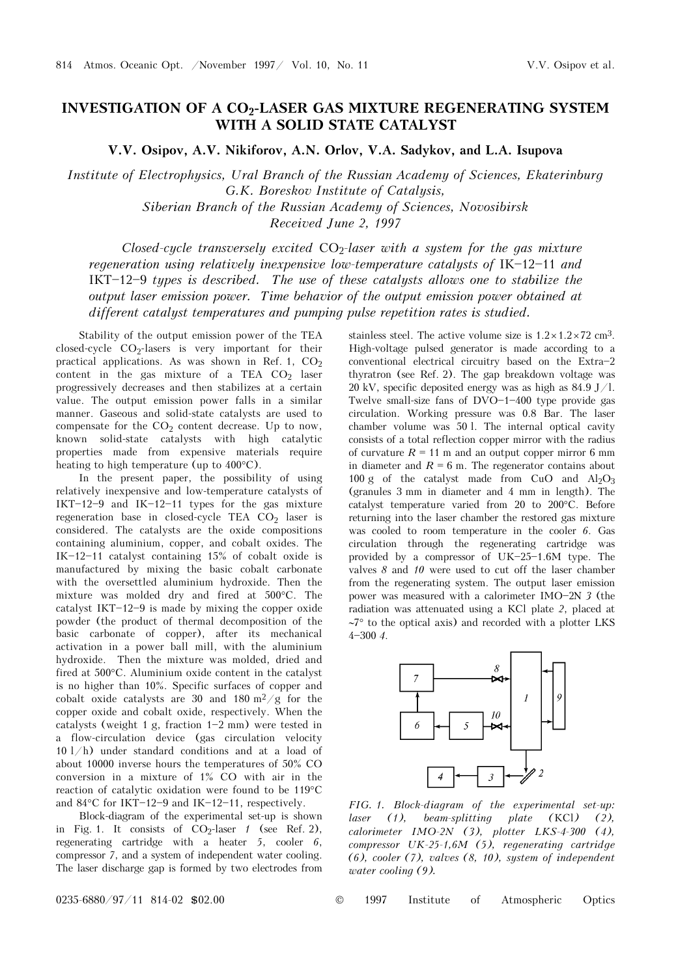## INVESTIGATION OF A CO<sub>2</sub>-LASER GAS MIXTURE REGENERATING SYSTEM **WITH A SOLID STATE CATALYST**

**V.V. Osipov, A.V. Nikiforov, A.N. Orlov, V.A. Sadykov, and L.A. Isupova** 

*Institute of Electrophysics, Ural Branch of the Russian Academy of Sciences, Ekaterinburg G.K. Boreskov Institute of Catalysis, Siberian Branch of the Russian Academy of Sciences, Novosibirsk Received June 2, 1997* 

*Closed-cycle transversely excited* CO2*-laser with a system for the gas mixture regeneration using relatively inexpensive low-temperature catalysts of* IK-12-11 *and* IKT-12-9 types is described. The use of these catalysts allows one to stabilize the *output laser emission power. Time behavior of the output emission power obtained at different catalyst temperatures and pumping pulse repetition rates is studied.* 

Stability of the output emission power of the TEA closed-cycle  $CO<sub>2</sub>$ -lasers is very important for their practical applications. As was shown in Ref. 1,  $CO<sub>2</sub>$ content in the gas mixture of a TEA  $CO<sub>2</sub>$  laser progressively decreases and then stabilizes at a certain value. The output emission power falls in a similar manner. Gaseous and solid-state catalysts are used to compensate for the  $CO<sub>2</sub>$  content decrease. Up to now, known solid-state catalysts with high catalytic properties made from expensive materials require heating to high temperature (up to 400°C).

In the present paper, the possibility of using relatively inexpensive and low-temperature catalysts of IKT $-12-9$  and IK $-12-11$  types for the gas mixture regeneration base in closed-cycle TEA  $CO<sub>2</sub>$  laser is considered. The catalysts are the oxide compositions containing aluminium, copper, and cobalt oxides. The IK $-12$ -11 catalyst containing 15% of cobalt oxide is manufactured by mixing the basic cobalt carbonate with the oversettled aluminium hydroxide. Then the mixture was molded dry and fired at 500°C. The catalyst IKT $-12-9$  is made by mixing the copper oxide powder (the product of thermal decomposition of the basic carbonate of copper), after its mechanical activation in a power ball mill, with the aluminium hydroxide. Then the mixture was molded, dried and fired at 500°C. Aluminium oxide content in the catalyst is no higher than 10%. Specific surfaces of copper and cobalt oxide catalysts are 30 and 180  $\mathrm{m}^2/\mathrm{g}$  for the copper oxide and cobalt oxide, respectively. When the catalysts (weight 1 g, fraction  $1-2$  mm) were tested in a flow-circulation device (gas circulation velocity 10 l/h) under standard conditions and at a load of about 10000 inverse hours the temperatures of 50% CO conversion in a mixture of 1% CO with air in the reaction of catalytic oxidation were found to be 119°C and  $84^{\circ}$ C for IKT-12-9 and IK-12-11, respectively.

Block-diagram of the experimental set-up is shown in Fig. 1. It consists of  $CO<sub>2</sub>$ -laser *1* (see Ref. 2), regenerating cartridge with a heater *5*, cooler *6*, compressor *7*, and a system of independent water cooling. The laser discharge gap is formed by two electrodes from stainless steel. The active volume size is  $1.2 \times 1.2 \times 72$  cm<sup>3</sup>. High-voltage pulsed generator is made according to a conventional electrical circuitry based on the  $Extra-2$ thyratron (see Ref. 2). The gap breakdown voltage was 20 kV, specific deposited energy was as high as 84.9 J/l. Twelve small-size fans of  $DVO-1-400$  type provide gas circulation. Working pressure was 0.8 Bar. The laser chamber volume was 50 l. The internal optical cavity consists of a total reflection copper mirror with the radius of curvature  $R = 11$  m and an output copper mirror 6 mm in diameter and  $R = 6$  m. The regenerator contains about 100 g of the catalyst made from CuO and  $Al_2O_3$ (granules 3 mm in diameter and 4 mm in length). The catalyst temperature varied from 20 to 200°C. Before returning into the laser chamber the restored gas mixture was cooled to room temperature in the cooler *6*. Gas circulation through the regenerating cartridge was provided by a compressor of  $UK-25-1.6M$  type. The valves *8* and *10* were used to cut off the laser chamber from the regenerating system. The output laser emission power was measured with a calorimeter IMO-2N 3 (the radiation was attenuated using a KCl plate *2*, placed at ∼7° to the optical axis) and recorded with a plotter LKS 4\$300 *4*.



*FIG. 1. Block-diagram of the experimental set-up: laser (1), beam-splitting plate (*KCl*) (2), calorimeter IMO-2N (3), plotter LKS-4-300 (4), compressor UK-25-1,6M (5), regenerating cartridge (6), cooler (7), valves (8, 10), system of independent water cooling (9).*